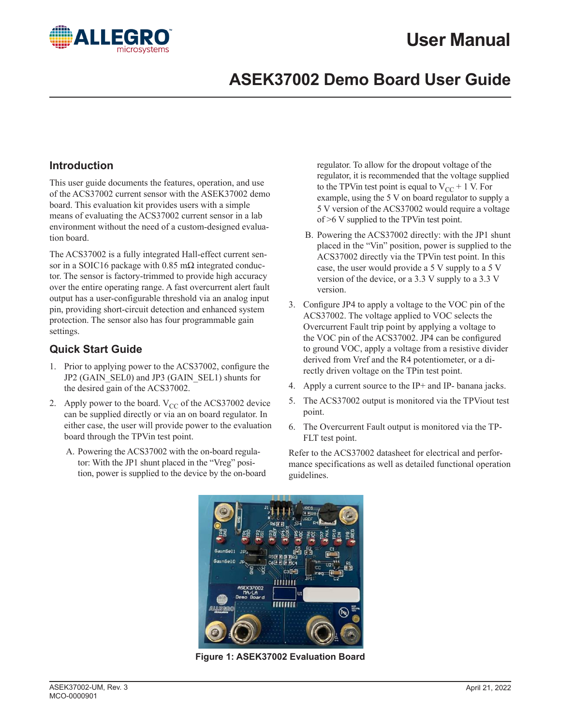# **User Manual**



## **ASEK37002 Demo Board User Guide**

#### **Introduction**

This user guide documents the features, operation, and use of the ACS37002 current sensor with the ASEK37002 demo board. This evaluation kit provides users with a simple means of evaluating the ACS37002 current sensor in a lab environment without the need of a custom-designed evaluation board.

The ACS37002 is a fully integrated Hall-effect current sensor in a SOIC16 package with 0.85 m $\Omega$  integrated conductor. The sensor is factory-trimmed to provide high accuracy over the entire operating range. A fast overcurrent alert fault output has a user-configurable threshold via an analog input pin, providing short-circuit detection and enhanced system protection. The sensor also has four programmable gain settings.

#### **Quick Start Guide**

- 1. Prior to applying power to the ACS37002, configure the JP2 (GAIN\_SEL0) and JP3 (GAIN\_SEL1) shunts for the desired gain of the ACS37002.
- 2. Apply power to the board.  $V_{CC}$  of the ACS37002 device can be supplied directly or via an on board regulator. In either case, the user will provide power to the evaluation board through the TPVin test point.
	- A. Powering the ACS37002 with the on-board regulator: With the JP1 shunt placed in the "Vreg" position, power is supplied to the device by the on-board

regulator. To allow for the dropout voltage of the regulator, it is recommended that the voltage supplied to the TPVin test point is equal to  $V_{CC}$  + 1 V. For example, using the 5 V on board regulator to supply a 5 V version of the ACS37002 would require a voltage of >6 V supplied to the TPVin test point.

- B. Powering the ACS37002 directly: with the JP1 shunt placed in the "Vin" position, power is supplied to the ACS37002 directly via the TPVin test point. In this case, the user would provide a 5 V supply to a 5 V version of the device, or a 3.3 V supply to a 3.3 V version.
- 3. Configure JP4 to apply a voltage to the VOC pin of the ACS37002. The voltage applied to VOC selects the Overcurrent Fault trip point by applying a voltage to the VOC pin of the ACS37002. JP4 can be configured to ground VOC, apply a voltage from a resistive divider derived from Vref and the R4 potentiometer, or a directly driven voltage on the TPin test point.
- 4. Apply a current source to the IP+ and IP- banana jacks.
- 5. The ACS37002 output is monitored via the TPViout test point.
- 6. The Overcurrent Fault output is monitored via the TP-FLT test point.

Refer to the ACS37002 datasheet for electrical and performance specifications as well as detailed functional operation guidelines.



**Figure 1: ASEK37002 Evaluation Board**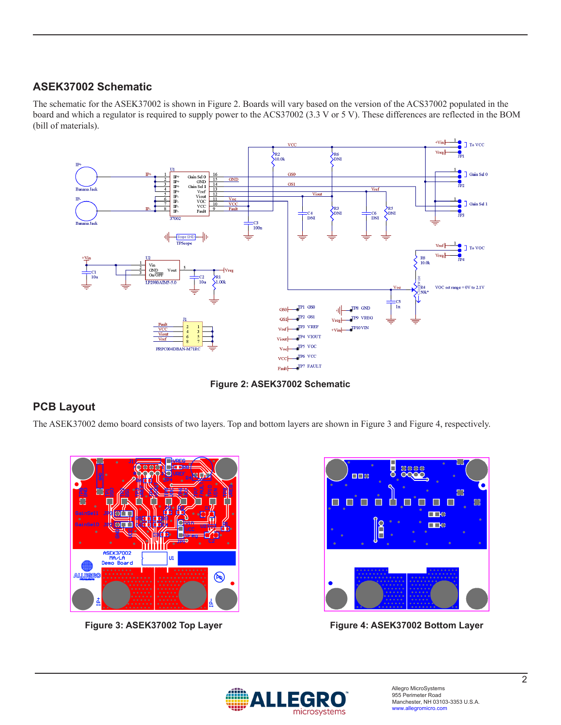#### **ASEK37002 Schematic**

The schematic for the ASEK37002 is shown in Figure 2. Boards will vary based on the version of the ACS37002 populated in the board and which a regulator is required to supply power to the ACS37002 (3.3 V or 5 V). These differences are reflected in the BOM (bill of materials).



**Figure 2: ASEK37002 Schematic**

#### **PCB Layout**

The ASEK37002 demo board consists of two layers. Top and bottom layers are shown in Figure 3 and Figure 4, respectively.





**Figure 3: ASEK37002 Top Layer Figure 4: ASEK37002 Bottom Layer**

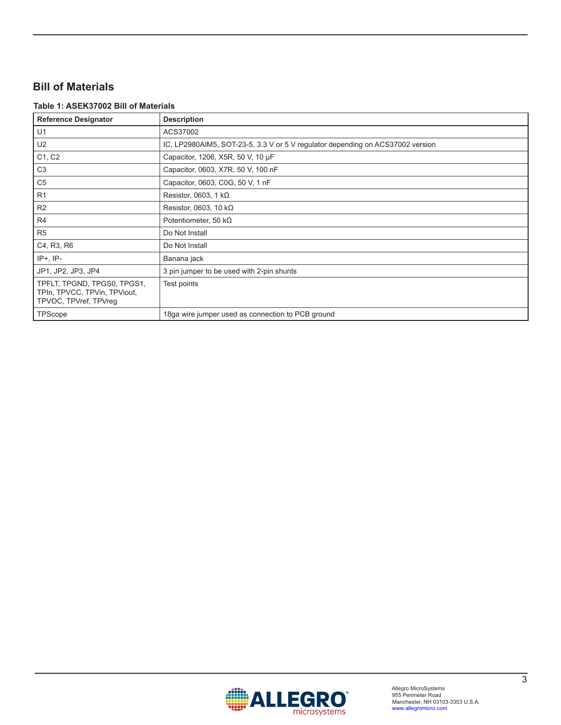### **Bill of Materials**

#### **Table 1: ASEK37002 Bill of Materials**

| <b>Reference Designator</b>                                                          | <b>Description</b>                                                             |
|--------------------------------------------------------------------------------------|--------------------------------------------------------------------------------|
| U1                                                                                   | ACS37002                                                                       |
| U <sub>2</sub>                                                                       | IC, LP2980AIM5, SOT-23-5, 3.3 V or 5 V regulator depending on ACS37002 version |
| C1, C2                                                                               | Capacitor, 1206, X5R, 50 V, 10 µF                                              |
| C <sub>3</sub>                                                                       | Capacitor, 0603, X7R, 50 V, 100 nF                                             |
| C <sub>5</sub>                                                                       | Capacitor, 0603, C0G, 50 V, 1 nF                                               |
| R <sub>1</sub>                                                                       | Resistor, 0603, 1 $k\Omega$                                                    |
| R2                                                                                   | Resistor, 0603, 10 $k\Omega$                                                   |
| R4                                                                                   | Potentiometer, 50 k $\Omega$                                                   |
| R <sub>5</sub>                                                                       | Do Not Install                                                                 |
| C4, R3, R6                                                                           | Do Not Install                                                                 |
| $IP+$ , $IP-$                                                                        | Banana jack                                                                    |
| JP1, JP2, JP3, JP4                                                                   | 3 pin jumper to be used with 2-pin shunts                                      |
| TPFLT, TPGND, TPGS0, TPGS1,<br>TPIn, TPVCC, TPVin, TPViout,<br>TPVOC, TPVref, TPVreq | Test points                                                                    |
| TPScope                                                                              | 18ga wire jumper used as connection to PCB ground                              |

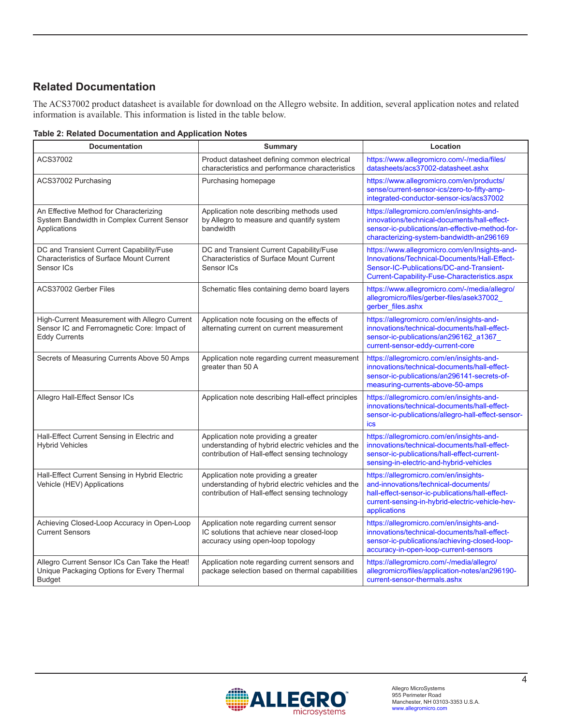#### **Related Documentation**

The ACS37002 product datasheet is available for download on the Allegro website. In addition, several application notes and related information is available. This information is listed in the table below.

| <b>Table 2: Related Documentation and Application Notes</b> |  |
|-------------------------------------------------------------|--|
|-------------------------------------------------------------|--|

| <b>Documentation</b>                                                                                                 | <b>Summary</b>                                                                                                                              | Location                                                                                                                                                                                            |
|----------------------------------------------------------------------------------------------------------------------|---------------------------------------------------------------------------------------------------------------------------------------------|-----------------------------------------------------------------------------------------------------------------------------------------------------------------------------------------------------|
| ACS37002                                                                                                             | Product datasheet defining common electrical<br>characteristics and performance characteristics                                             | https://www.allegromicro.com/-/media/files/<br>datasheets/acs37002-datasheet.ashx                                                                                                                   |
| ACS37002 Purchasing                                                                                                  | Purchasing homepage                                                                                                                         | https://www.allegromicro.com/en/products/<br>sense/current-sensor-ics/zero-to-fifty-amp-<br>integrated-conductor-sensor-ics/acs37002                                                                |
| An Effective Method for Characterizing<br>System Bandwidth in Complex Current Sensor<br>Applications                 | Application note describing methods used<br>by Allegro to measure and quantify system<br>bandwidth                                          | https://allegromicro.com/en/insights-and-<br>innovations/technical-documents/hall-effect-<br>sensor-ic-publications/an-effective-method-for-<br>characterizing-system-bandwidth-an296169            |
| DC and Transient Current Capability/Fuse<br><b>Characteristics of Surface Mount Current</b><br>Sensor ICs            | DC and Transient Current Capability/Fuse<br><b>Characteristics of Surface Mount Current</b><br>Sensor ICs                                   | https://www.allegromicro.com/en/Insights-and-<br>Innovations/Technical-Documents/Hall-Effect-<br>Sensor-IC-Publications/DC-and-Transient-<br>Current-Capability-Fuse-Characteristics.aspx           |
| ACS37002 Gerber Files                                                                                                | Schematic files containing demo board layers                                                                                                | https://www.allegromicro.com/-/media/allegro/<br>allegromicro/files/gerber-files/asek37002<br>gerber_files.ashx                                                                                     |
| High-Current Measurement with Allegro Current<br>Sensor IC and Ferromagnetic Core: Impact of<br><b>Eddy Currents</b> | Application note focusing on the effects of<br>alternating current on current measurement                                                   | https://allegromicro.com/en/insights-and-<br>innovations/technical-documents/hall-effect-<br>sensor-ic-publications/an296162_a1367_<br>current-sensor-eddy-current-core                             |
| Secrets of Measuring Currents Above 50 Amps                                                                          | Application note regarding current measurement<br>greater than 50 A                                                                         | https://allegromicro.com/en/insights-and-<br>innovations/technical-documents/hall-effect-<br>sensor-ic-publications/an296141-secrets-of-<br>measuring-currents-above-50-amps                        |
| Allegro Hall-Effect Sensor ICs                                                                                       | Application note describing Hall-effect principles                                                                                          | https://allegromicro.com/en/insights-and-<br>innovations/technical-documents/hall-effect-<br>sensor-ic-publications/allegro-hall-effect-sensor-<br>ics                                              |
| Hall-Effect Current Sensing in Electric and<br><b>Hybrid Vehicles</b>                                                | Application note providing a greater<br>understanding of hybrid electric vehicles and the<br>contribution of Hall-effect sensing technology | https://allegromicro.com/en/insights-and-<br>innovations/technical-documents/hall-effect-<br>sensor-ic-publications/hall-effect-current-<br>sensing-in-electric-and-hybrid-vehicles                 |
| Hall-Effect Current Sensing in Hybrid Electric<br>Vehicle (HEV) Applications                                         | Application note providing a greater<br>understanding of hybrid electric vehicles and the<br>contribution of Hall-effect sensing technology | https://allegromicro.com/en/insights-<br>and-innovations/technical-documents/<br>hall-effect-sensor-ic-publications/hall-effect-<br>current-sensing-in-hybrid-electric-vehicle-hev-<br>applications |
| Achieving Closed-Loop Accuracy in Open-Loop<br><b>Current Sensors</b>                                                | Application note regarding current sensor<br>IC solutions that achieve near closed-loop<br>accuracy using open-loop topology                | https://allegromicro.com/en/insights-and-<br>innovations/technical-documents/hall-effect-<br>sensor-ic-publications/achieving-closed-loop-<br>accuracy-in-open-loop-current-sensors                 |
| Allegro Current Sensor ICs Can Take the Heat!<br>Unique Packaging Options for Every Thermal<br><b>Budget</b>         | Application note regarding current sensors and<br>package selection based on thermal capabilities                                           | https://allegromicro.com/-/media/allegro/<br>allegromicro/files/application-notes/an296190-<br>current-sensor-thermals.ashx                                                                         |